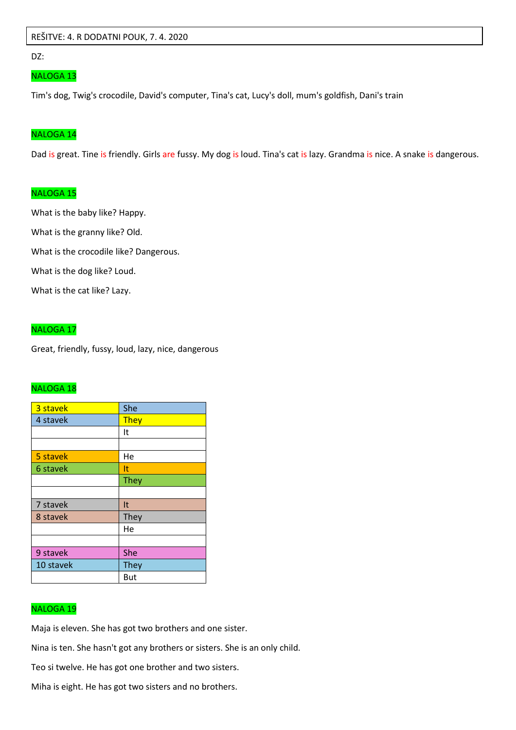### REŠITVE: 4. R DODATNI POUK, 7. 4. 2020

DZ:

#### NALOGA 13

Tim's dog, Twig's crocodile, David's computer, Tina's cat, Lucy's doll, mum's goldfish, Dani's train

#### NALOGA 14

Dad is great. Tine is friendly. Girls are fussy. My dog is loud. Tina's cat is lazy. Grandma is nice. A snake is dangerous.

## NALOGA 15

What is the baby like? Happy. What is the granny like? Old. What is the crocodile like? Dangerous.

What is the dog like? Loud.

What is the cat like? Lazy.

# NALOGA 17

Great, friendly, fussy, loud, lazy, nice, dangerous

## NALOGA 18

| 3 stavek  | She         |
|-----------|-------------|
| 4 stavek  | They        |
|           | It          |
|           |             |
| 5 stavek  | He          |
| 6 stavek  | It          |
|           | <b>They</b> |
|           |             |
| 7 stavek  | It          |
| 8 stavek  | They        |
|           | He          |
|           |             |
| 9 stavek  | She         |
| 10 stavek | <b>They</b> |
|           | But         |

# NALOGA 19

Maja is eleven. She has got two brothers and one sister.

Nina is ten. She hasn't got any brothers or sisters. She is an only child.

Teo si twelve. He has got one brother and two sisters.

Miha is eight. He has got two sisters and no brothers.